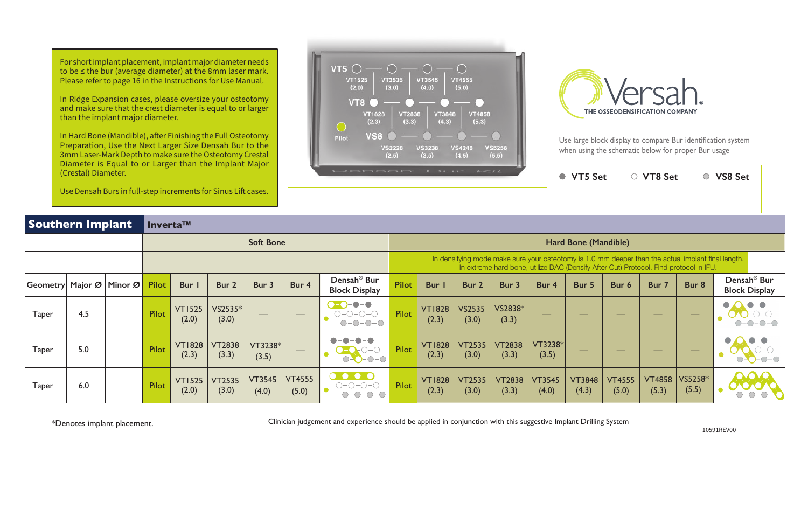**VT5 Set VT8 Set VS8 Set**

For short implant placement, implant major diameter needs to be ≤ the bur (average diameter) at the 8mm laser mark. Please refer to page 16 in the Instructions for Use Manual.

In Ridge Expansion cases, please oversize your osteotomy and make sure that the crest diameter is equal to or larger than the implant major diameter.

In Hard Bone (Mandible), after Finishing the Full Osteotomy Preparation, Use the Next Larger Size Densah Bur to the 3mm Laser-Mark Depth to make sure the Osteotomy Crestal Diameter is Equal to or Larger than the Implant Major (Crestal) Diameter.

Use Densah Burs in full-step increments for Sinus Lift  $c$ 





Use large block display to compare Bur identification system when using the schematic below for proper Bur usage

|                          | <u>USE DETISAIT DUI 3 III TUIT-SIEP IITUTEITIUS IUI OIITUS EIII CASES.</u> |                       |                        |                        |                        |                        |                                                                           |              |                        |                        |                        |                        |                        |                                                                                                                                                                                             |                                |                                                                                                                                                                                                                                                                                                                                                                                                                                                                            |                                                 |
|--------------------------|----------------------------------------------------------------------------|-----------------------|------------------------|------------------------|------------------------|------------------------|---------------------------------------------------------------------------|--------------|------------------------|------------------------|------------------------|------------------------|------------------------|---------------------------------------------------------------------------------------------------------------------------------------------------------------------------------------------|--------------------------------|----------------------------------------------------------------------------------------------------------------------------------------------------------------------------------------------------------------------------------------------------------------------------------------------------------------------------------------------------------------------------------------------------------------------------------------------------------------------------|-------------------------------------------------|
| <b>Southern Implant</b>  |                                                                            | Inverta <sup>TM</sup> |                        |                        |                        |                        |                                                                           |              |                        |                        |                        |                        |                        |                                                                                                                                                                                             |                                |                                                                                                                                                                                                                                                                                                                                                                                                                                                                            |                                                 |
|                          |                                                                            |                       |                        |                        | <b>Soft Bone</b>       |                        |                                                                           |              |                        |                        |                        |                        | Hard Bone (Mandible)   |                                                                                                                                                                                             |                                |                                                                                                                                                                                                                                                                                                                                                                                                                                                                            |                                                 |
|                          |                                                                            |                       |                        |                        |                        |                        |                                                                           |              |                        |                        |                        |                        |                        | In densifying mode make sure your osteotomy is 1.0 mm deeper than the actual implant final length.<br>In extreme hard bone, utilize DAC (Densify After Cut) Protocol. Find protocol in IFU. |                                |                                                                                                                                                                                                                                                                                                                                                                                                                                                                            |                                                 |
| Geometry Major Ø Minor Ø |                                                                            | <b>Pilot</b>          | Bur                    | Bur 2                  | Bur 3                  | Bur 4                  | Densah <sup>®</sup> Bur<br><b>Block Display</b>                           | <b>Pilot</b> | <b>Bur</b> I           | Bur 2                  | Bur 3                  | Bur 4                  | Bur 5                  | Bur 6                                                                                                                                                                                       | Bur 7                          | Bur 8                                                                                                                                                                                                                                                                                                                                                                                                                                                                      | Densah <sup>®</sup> Bur<br><b>Block Display</b> |
| <b>Taper</b>             | 4.5                                                                        | Pilot                 | <b>VT1525</b><br>(2.0) | VS2535*<br>(3.0)       |                        |                        | $\bullet - \bullet$<br>$O-O-O-O$<br>$O-O-O-O$                             | Pilot        | <b>VT1828</b><br>(2.3) | <b>VS2535</b><br>(3.0) | VS2838*<br>(3.3)       |                        |                        | $\overline{\phantom{a}}$                                                                                                                                                                    | $\overbrace{\hspace{25mm}}^{}$ |                                                                                                                                                                                                                                                                                                                                                                                                                                                                            |                                                 |
| <b>Taper</b>             | 5.0                                                                        | Pilot                 | <b>VT1828</b><br>(2.3) | <b>VT2838</b><br>(3.3) | VT3238*<br>(3.5)       | $\hspace{0.05cm}$      | $O-O-O-O$                                                                 | Pilot        | <b>VT1828</b><br>(2.3) | <b>VT2535</b><br>(3.0) | <b>VT2838</b><br>(3.3) | $VT3238*$<br>(3.5)     |                        | $\frac{1}{2}$                                                                                                                                                                               | $\frac{1}{2}$                  | $\frac{1}{2} \left( \frac{1}{2} \right) \left( \frac{1}{2} \right) \left( \frac{1}{2} \right) \left( \frac{1}{2} \right) \left( \frac{1}{2} \right) \left( \frac{1}{2} \right) \left( \frac{1}{2} \right) \left( \frac{1}{2} \right) \left( \frac{1}{2} \right) \left( \frac{1}{2} \right) \left( \frac{1}{2} \right) \left( \frac{1}{2} \right) \left( \frac{1}{2} \right) \left( \frac{1}{2} \right) \left( \frac{1}{2} \right) \left( \frac{1}{2} \right) \left( \frac$ |                                                 |
| <b>Taper</b>             | 6.0                                                                        | Pilot                 | <b>VT1525</b><br>(2.0) | <b>VT2535</b><br>(3.0) | <b>VT3545</b><br>(4.0) | <b>VT4555</b><br>(5.0) | $\bullet$ - $\bullet$ - $\bullet$ - $\bullet$<br>$O-O-O-O-$<br>$O-O-O-O-$ | Pilot        | <b>VT1828</b><br>(2.3) | <b>VT2535</b><br>(3.0) | <b>VT2838</b><br>(3.3) | <b>VT3545</b><br>(4.0) | <b>VT3848</b><br>(4.3) | <b>VT4555</b><br>(5.0)                                                                                                                                                                      | <b>VT4858</b><br>(5.3)         | VS5258*<br>(5.5)                                                                                                                                                                                                                                                                                                                                                                                                                                                           |                                                 |

\*Denotes implant placement. 10591REV00 Clinician judgement and experience should be applied in conjunction with this suggestive Implant Drilling System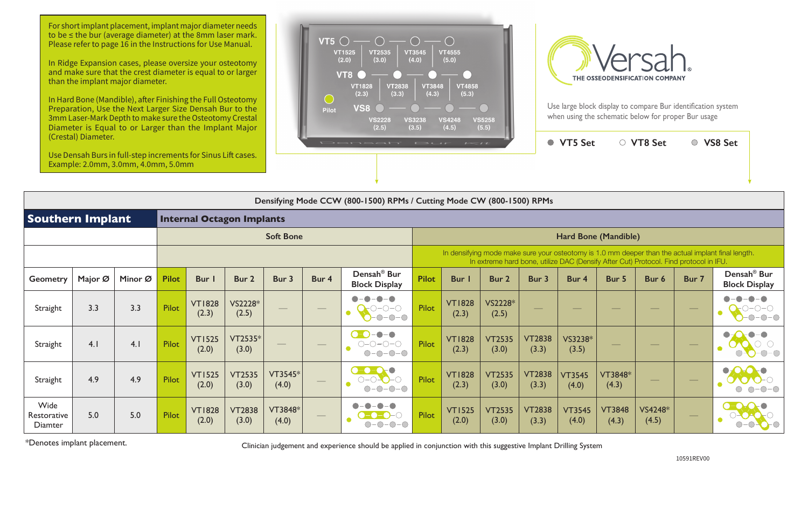For short implant placement, implant major diameter needs to be ≤ the bur (average diameter) at the 8mm laser mark. Please refer to page 16 in the Instructions for Use Manual.

|                                | Densifying Mode CCW (800-1500) RPMs / Cutting Mode CW (800-1500) RPMs |         |              |                        |                                  |                   |                          |                                                 |              |                        |                        |                        |                        |                             |                                                                                       |       |                                                                                                    |
|--------------------------------|-----------------------------------------------------------------------|---------|--------------|------------------------|----------------------------------|-------------------|--------------------------|-------------------------------------------------|--------------|------------------------|------------------------|------------------------|------------------------|-----------------------------|---------------------------------------------------------------------------------------|-------|----------------------------------------------------------------------------------------------------|
| <b>Southern Implant</b>        |                                                                       |         |              |                        | <b>Internal Octagon Implants</b> |                   |                          |                                                 |              |                        |                        |                        |                        |                             |                                                                                       |       |                                                                                                    |
|                                |                                                                       |         |              |                        |                                  | <b>Soft Bone</b>  |                          |                                                 |              |                        |                        |                        |                        | <b>Hard Bone (Mandible)</b> |                                                                                       |       |                                                                                                    |
|                                |                                                                       |         |              |                        |                                  |                   |                          |                                                 |              |                        |                        |                        |                        |                             | In extreme hard bone, utilize DAC (Densify After Cut) Protocol. Find protocol in IFU. |       | In densifying mode make sure your osteotomy is 1.0 mm deeper than the actual implant final length. |
| <b>Geometry</b>                | Major Ø                                                               | Minor Ø | <b>Pilot</b> | Bur I                  | Bur 2                            | Bur 3             | Bur 4                    | Densah <sup>®</sup> Bur<br><b>Block Display</b> | <b>Pilot</b> | <b>Bur</b> I           | Bur 2                  | Bur 3                  | Bur 4                  | Bur 5                       | Bur 6                                                                                 | Bur 7 | Densah <sup>®</sup> Bur<br><b>Block Display</b>                                                    |
| Straight                       | 3.3                                                                   | 3.3     | <b>Pilot</b> | <b>VT1828</b><br>(2.3) | VS2228*<br>(2.5)                 | $\frac{1}{2}$     | $\overline{\phantom{a}}$ | $\bullet$<br>$\bigcap$ $\bigcap$                | <b>Pilot</b> | <b>VT1828</b><br>(2.3) | VS2228*<br>(2.5)       |                        |                        |                             |                                                                                       |       |                                                                                                    |
| Straight                       | 4.1                                                                   | 4.1     | <b>Pilot</b> | <b>VT1525</b><br>(2.0) | $VT2535*$<br>(3.0)               | $\hspace{0.05cm}$ |                          | $O-O-O-O$                                       | <b>Pilot</b> | <b>VT1828</b><br>(2.3) | <b>VT2535</b><br>(3.0) | <b>VT2838</b><br>(3.3) | VS3238*<br>(3.5)       |                             |                                                                                       |       |                                                                                                    |
| Straight                       | 4.9                                                                   | 4.9     | Pilot        | <b>VT1525</b><br>(2.0) | <b>VT2535</b><br>(3.0)           | VT3545*<br>(4.0)  |                          | $\bullet$ - $\bullet$ - $\bullet$<br>$O-O$      | <b>Pilot</b> | <b>VT1828</b><br>(2.3) | <b>VT2535</b><br>(3.0) | <b>VT2838</b><br>(3.3) | <b>VT3545</b><br>(4.0) | VT3848*<br>(4.3)            |                                                                                       | —     |                                                                                                    |
| Wide<br>Restorative<br>Diamter | 5.0                                                                   | 5.0     | Pilot        | <b>VT1828</b><br>(2.0) | <b>VT2838</b><br>(3.0)           | VT3848*<br>(4.0)  |                          |                                                 | <b>Pilot</b> | <b>VT1525</b><br>(2.0) | <b>VT2535</b><br>(3.0) | <b>VT2838</b><br>(3.3) | <b>VT3545</b><br>(4.0) | <b>VT3848</b><br>(4.3)      | VS4248*<br>(4.5)                                                                      |       |                                                                                                    |

| $\sim$                 |                         |                        | VT5 Set                                                                               |                        | <b>VT8 Set</b>   |       | <b>VS8 Set</b>                                                                                     |
|------------------------|-------------------------|------------------------|---------------------------------------------------------------------------------------|------------------------|------------------|-------|----------------------------------------------------------------------------------------------------|
|                        |                         |                        |                                                                                       |                        |                  |       |                                                                                                    |
|                        | Mode CW (800-1500) RPMs |                        |                                                                                       |                        |                  |       |                                                                                                    |
|                        |                         |                        |                                                                                       |                        |                  |       |                                                                                                    |
|                        |                         |                        | Hard Bone (Mandible)                                                                  |                        |                  |       |                                                                                                    |
|                        |                         |                        | In extreme hard bone, utilize DAC (Densify After Cut) Protocol. Find protocol in IFU. |                        |                  |       | In densifying mode make sure your osteotomy is 1.0 mm deeper than the actual implant final length. |
| Bur I                  | Bur <sub>2</sub>        | Bur 3                  | Bur 4                                                                                 | Bur 5                  | Bur <sub>6</sub> | Bur 7 | Densah <sup>®</sup> Bur<br><b>Block Display</b>                                                    |
| <b>VT1828</b><br>(2.3) | VS2228*<br>(2.5)        |                        |                                                                                       |                        |                  |       |                                                                                                    |
| <b>VT1828</b><br>(2.3) | <b>VT2535</b><br>(3.0)  | <b>VT2838</b><br>(3.3) | VS3238*<br>(3.5)                                                                      |                        |                  |       |                                                                                                    |
| <b>VT1828</b><br>(2.3) | <b>VT2535</b><br>(3.0)  | <b>VT2838</b><br>(3.3) | <b>VT3545</b><br>(4.0)                                                                | VT3848*<br>(4.3)       |                  |       |                                                                                                    |
| <b>VT1525</b><br>(2.0) | <b>VT2535</b><br>(3.0)  | <b>VT2838</b><br>(3.3) | <b>VT3545</b><br>(4.0)                                                                | <b>VT3848</b><br>(4.3) | VS4248*<br>(4.5) |       |                                                                                                    |

\*Denotes implant placement.

10591REV00

Clinician judgement and experience should be applied in conjunction with this suggestive Implant Drilling System

In Ridge Expansion cases, please oversize your osteotomy and make sure that the crest diameter is equal to or larger than the implant major diameter.

In Hard Bone (Mandible), after Finishing the Full Osteotomy Preparation, Use the Next Larger Size Densah Bur to the 3mm Laser-Mark Depth to make sure the Osteotomy Crestal Diameter is Equal to or Larger than the Implant Major (Crestal) Diameter.

Use Densah Burs in full-step increments for Sinus Lift cases. Example: 2.0mm, 3.0mm, 4.0mm, 5.0mm





Use large block display to compare Bur identification system when using the schematic below for proper Bur usage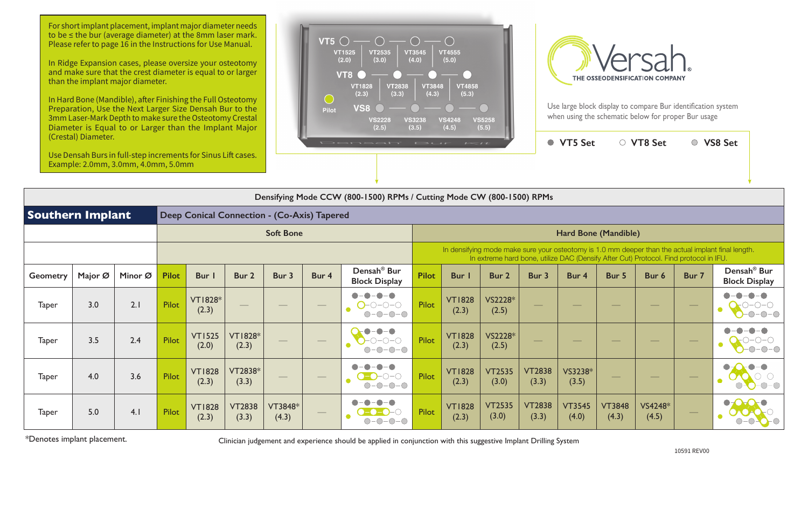|                         | (Clestal) Diditielei.<br>Use Densah Burs in full-step increments for Sinus Lift cases.<br>Example: 2.0mm, 3.0mm, 4.0mm, 5.0mm |         |              |                                             |                         |                  |                                   | Densah' Bur                                                           |              | $I = II$               |                                                                                       |                        | ● VT5 Set              |                                | ○ VT8 Set        |                   | ○ VS8 Set                                                                                          |
|-------------------------|-------------------------------------------------------------------------------------------------------------------------------|---------|--------------|---------------------------------------------|-------------------------|------------------|-----------------------------------|-----------------------------------------------------------------------|--------------|------------------------|---------------------------------------------------------------------------------------|------------------------|------------------------|--------------------------------|------------------|-------------------|----------------------------------------------------------------------------------------------------|
|                         |                                                                                                                               |         |              |                                             |                         |                  |                                   | Densifying Mode CCW (800-1500) RPMs / Cutting Mode CW (800-1500) RPMs |              |                        |                                                                                       |                        |                        |                                |                  |                   |                                                                                                    |
| <b>Southern Implant</b> |                                                                                                                               |         |              | Deep Conical Connection - (Co-Axis) Tapered |                         |                  |                                   |                                                                       |              |                        |                                                                                       |                        |                        |                                |                  |                   |                                                                                                    |
|                         |                                                                                                                               |         |              |                                             |                         | <b>Soft Bone</b> |                                   |                                                                       |              |                        |                                                                                       |                        |                        | Hard Bone (Mandible)           |                  |                   |                                                                                                    |
|                         |                                                                                                                               |         |              |                                             |                         |                  |                                   |                                                                       |              |                        | In extreme hard bone, utilize DAC (Densify After Cut) Protocol. Find protocol in IFU. |                        |                        |                                |                  |                   | In densifying mode make sure your osteotomy is 1.0 mm deeper than the actual implant final length. |
| Geometry                | Major Ø                                                                                                                       | Minor Ø | <b>Pilot</b> | Bur                                         | Bur 2                   | Bur 3            | Bur 4                             | Densah <sup>®</sup> Bur<br><b>Block Display</b>                       | <b>Pilot</b> | <b>Bur</b>             | Bur 2                                                                                 | Bur 3                  | Bur 4                  | Bur 5                          | Bur 6            | Bur 7             | Densah <sup>®</sup> Bur<br><b>Block Display</b>                                                    |
| <b>Taper</b>            | 3.0                                                                                                                           | 2.1     | Pilot        | <b>VT1828*</b><br>(2.3)                     |                         |                  |                                   | $\bullet-\bullet$<br>$O$ -0-0-0<br>$O-O-O-O$                          | Pilot        | <b>VT1828</b><br>(2.3) | VS2228*<br>(2.5)                                                                      |                        |                        |                                |                  |                   | $-\bullet$<br>●<br>$-0-0-0$                                                                        |
| <b>Taper</b>            | 3.5                                                                                                                           | 2.4     | Pilot        | <b>VT1525</b><br>(2.0)                      | <b>VT1828*</b><br>(2.3) |                  | $\overbrace{\phantom{aaaaa}}^{x}$ | $\bullet$<br>$-0-0-0$<br>$-\bigcirc$                                  | Pilot        | <b>VT1828</b><br>(2.3) | VS2228*<br>(2.5)                                                                      |                        |                        |                                |                  | $\hspace{0.05cm}$ | $-0-$                                                                                              |
| <b>Taper</b>            | 4.0                                                                                                                           | 3.6     | Pilot        | <b>VT1828</b><br>(2.3)                      | VT2838*<br>(3.3)        |                  |                                   | $\bigcirc$ - $\bigcirc$ - $\bigcirc$<br>$O-O-O-O-$                    | Pilot        | <b>VT1828</b><br>(2.3) | <b>VT2535</b><br>(3.0)                                                                | <b>VT2838</b><br>(3.3) | VS3238*<br>(3.5)       | $\overbrace{\hspace{25mm}}^{}$ |                  |                   | $\bullet - \bullet$<br>$\bullet$ - $\bullet$<br>c<br>$O-O-O-O$                                     |
| <b>Taper</b>            | 5.0                                                                                                                           | 4.1     | Pilot        | <b>VT1828</b><br>(2.3)                      | <b>VT2838</b><br>(3.3)  | VT3848*<br>(4.3) |                                   | $ \bigcirc$                                                           | Pilot        | <b>VT1828</b><br>(2.3) | <b>VT2535</b><br>(3.0)                                                                | <b>VT2838</b><br>(3.3) | <b>VT3545</b><br>(4.0) | <b>VT3848</b><br>(4.3)         | VS4248*<br>(4.5) |                   | $\bullet \bullet \bullet \bullet$                                                                  |

\*Denotes implant placement.

Clinician judgement and experience should be applied in conjunction with this suggestive Implant Drilling System

For short implant placement, implant major diameter needs to be ≤ the bur (average diameter) at the 8mm laser mark. Please refer to page 16 in the Instructions for Use Manual.

In Ridge Expansion cases, please oversize your osteotomy and make sure that the crest diameter is equal to or larger than the implant major diameter.

In Hard Bone (Mandible), after Finishing the Full Osteotomy Preparation, Use the Next Larger Size Densah Bur to the 3mm Laser-Mark Depth to make sure the Osteotomy Crestal Diameter is Equal to or Larger than the Implant Major (Crestal) Diameter.





Use large block display to compare Bur identification system when using the schematic below for proper Bur usage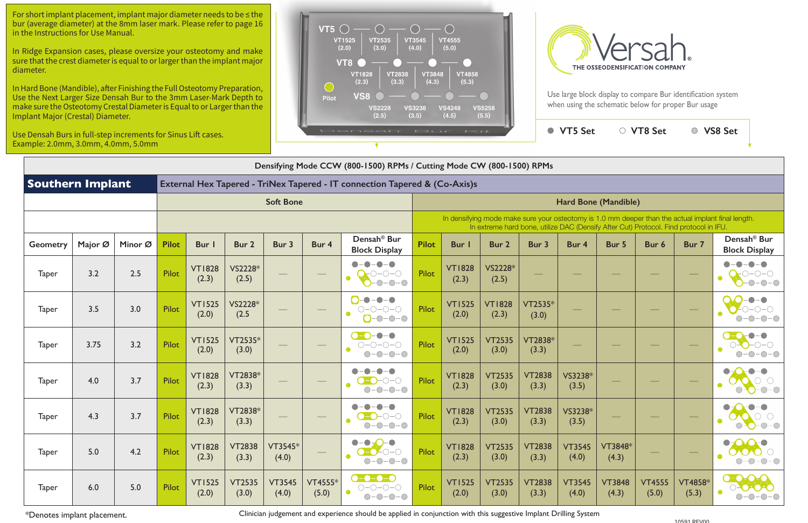| $\sim$ 1               |                                                                                       |                        | <b>VT5 Set</b>         | $\bigcirc$             | <b>VT8 Set</b>         |                         | <b>VS8 Set</b>                                                                                     |
|------------------------|---------------------------------------------------------------------------------------|------------------------|------------------------|------------------------|------------------------|-------------------------|----------------------------------------------------------------------------------------------------|
|                        |                                                                                       |                        |                        |                        |                        |                         |                                                                                                    |
|                        | Mode CW (800-1500) RPMs                                                               |                        |                        |                        |                        |                         |                                                                                                    |
| o-Axis)s               |                                                                                       |                        |                        |                        |                        |                         |                                                                                                    |
|                        |                                                                                       |                        |                        | Hard Bone (Mandible)   |                        |                         |                                                                                                    |
|                        | In extreme hard bone, utilize DAC (Densify After Cut) Protocol. Find protocol in IFU. |                        |                        |                        |                        |                         | In densifying mode make sure your osteotomy is 1.0 mm deeper than the actual implant final length. |
| <b>Bur</b> I           | <b>Bur 2</b>                                                                          | Bur 3                  | Bur 4                  | Bur 5                  | Bur 6                  | Bur 7                   | Densah <sup>®</sup> Bur<br><b>Block Display</b>                                                    |
| <b>VT1828</b><br>(2.3) | VS2228*<br>(2.5)                                                                      |                        |                        |                        |                        |                         |                                                                                                    |
| <b>VT1525</b><br>(2.0) | <b>VT1828</b><br>(2.3)                                                                | VT2535*<br>(3.0)       |                        |                        |                        |                         |                                                                                                    |
| <b>VT1525</b><br>(2.0) | <b>VT2535</b><br>(3.0)                                                                | VT2838*<br>(3.3)       |                        |                        |                        |                         |                                                                                                    |
| <b>VT1828</b><br>(2.3) | <b>VT2535</b><br>(3.0)                                                                | <b>VT2838</b><br>(3.3) | VS3238*<br>(3.5)       |                        |                        |                         |                                                                                                    |
| <b>VT1828</b><br>(2.3) | <b>VT2535</b><br>(3.0)                                                                | <b>VT2838</b><br>(3.3) | VS3238*<br>(3.5)       |                        |                        |                         |                                                                                                    |
| <b>VT1828</b><br>(2.3) | <b>VT2535</b><br>(3.0)                                                                | <b>VT2838</b><br>(3.3) | <b>VT3545</b><br>(4.0) | VT3848*<br>(4.3)       |                        |                         |                                                                                                    |
| <b>VT1525</b><br>(2.0) | <b>VT2535</b><br>(3.0)                                                                | <b>VT2838</b><br>(3.3) | <b>VT3545</b><br>(4.0) | <b>VT3848</b><br>(4.3) | <b>VT4555</b><br>(5.0) | <b>VT4858*</b><br>(5.3) |                                                                                                    |

|                         | Densifying Mode CCW (800-1500) RPMs / Cutting Mode CW (800-1500) RPMs |         |              |                        |                        |                        |                         |                                                                                                                                                                                                                                                                                                                                                                                                                                                                                           |              |                        |                                                                                       |                        |                        |                        |                        |                  |                                                                                                    |
|-------------------------|-----------------------------------------------------------------------|---------|--------------|------------------------|------------------------|------------------------|-------------------------|-------------------------------------------------------------------------------------------------------------------------------------------------------------------------------------------------------------------------------------------------------------------------------------------------------------------------------------------------------------------------------------------------------------------------------------------------------------------------------------------|--------------|------------------------|---------------------------------------------------------------------------------------|------------------------|------------------------|------------------------|------------------------|------------------|----------------------------------------------------------------------------------------------------|
| <b>Southern Implant</b> |                                                                       |         |              |                        |                        |                        |                         | External Hex Tapered - TriNex Tapered - IT connection Tapered & (Co-Axis)s                                                                                                                                                                                                                                                                                                                                                                                                                |              |                        |                                                                                       |                        |                        |                        |                        |                  |                                                                                                    |
|                         |                                                                       |         |              |                        |                        | <b>Soft Bone</b>       |                         |                                                                                                                                                                                                                                                                                                                                                                                                                                                                                           |              |                        |                                                                                       |                        |                        | Hard Bone (Mandible)   |                        |                  |                                                                                                    |
|                         |                                                                       |         |              |                        |                        |                        |                         |                                                                                                                                                                                                                                                                                                                                                                                                                                                                                           |              |                        | In extreme hard bone, utilize DAC (Densify After Cut) Protocol. Find protocol in IFU. |                        |                        |                        |                        |                  | In densifying mode make sure your osteotomy is 1.0 mm deeper than the actual implant final length. |
| <b>Geometry</b>         | Major Ø                                                               | Minor Ø | <b>Pilot</b> | <b>Bur</b>             | Bur 2                  | Bur 3                  | Bur 4                   | Densah <sup>®</sup> Bur<br><b>Block Display</b>                                                                                                                                                                                                                                                                                                                                                                                                                                           | <b>Pilot</b> | Bur                    | Bur 2                                                                                 | Bur 3                  | Bur 4                  | Bur 5                  | Bur 6                  | Bur 7            | Densah <sup>®</sup> Bur<br><b>Block Display</b>                                                    |
| <b>Taper</b>            | 3.2                                                                   | 2.5     | Pilot        | <b>VT1828</b><br>(2.3) | VS2228*<br>(2.5)       |                        |                         | -0-0<br>-0-0<br>$\bullet$<br>$-0-0-0$                                                                                                                                                                                                                                                                                                                                                                                                                                                     | <b>Pilot</b> | <b>VT1828</b><br>(2.3) | VS2228*<br>(2.5)                                                                      |                        |                        |                        |                        |                  |                                                                                                    |
| <b>Taper</b>            | 3.5                                                                   | 3.0     | Pilot        | <b>VT1525</b><br>(2.0) | VS2228*<br>(2.5)       |                        |                         | $- - - - -$<br>$O-O-O-O$<br>$O - O - O - O$                                                                                                                                                                                                                                                                                                                                                                                                                                               | <b>Pilot</b> | <b>VT1525</b><br>(2.0) | <b>VT1828</b><br>(2.3)                                                                | $VT2535*$<br>(3.0)     |                        |                        |                        |                  |                                                                                                    |
| <b>Taper</b>            | 3.75                                                                  | 3.2     | Pilot        | <b>VT1525</b><br>(2.0) | VT2535*<br>(3.0)       |                        |                         | $\bullet$ $\bullet$<br>$ \bullet$<br>$O-O-O-O$<br>$-0-0-0$                                                                                                                                                                                                                                                                                                                                                                                                                                | <b>Pilot</b> | <b>VT1525</b><br>(2.0) | <b>VT2535</b><br>(3.0)                                                                | VT2838*<br>(3.3)       |                        |                        |                        |                  |                                                                                                    |
| <b>Taper</b>            | 4.0                                                                   | 3.7     | Pilot        | <b>VT1828</b><br>(2.3) | VT2838*<br>(3.3)       |                        |                         | $\bigcap_{\alpha\in\mathbb{C}}\bigcap_{\alpha\in\mathbb{C}}\bigcap_{\alpha\in\mathbb{C}}\bigcap_{\alpha\in\mathbb{C}}\bigcap_{\alpha\in\mathbb{C}}\bigcap_{\alpha\in\mathbb{C}}\bigcap_{\alpha\in\mathbb{C}}\bigcap_{\alpha\in\mathbb{C}}\bigcap_{\alpha\in\mathbb{C}}\bigcap_{\alpha\in\mathbb{C}}\bigcap_{\alpha\in\mathbb{C}}\bigcap_{\alpha\in\mathbb{C}}\bigcap_{\alpha\in\mathbb{C}}\bigcap_{\alpha\in\mathbb{C}}\bigcap_{\alpha\in\mathbb{C}}\bigcap_{\alpha\in\math$<br>$O-O-O-O$ | <b>Pilot</b> | <b>VT1828</b><br>(2.3) | <b>VT2535</b><br>(3.0)                                                                | <b>VT2838</b><br>(3.3) | VS3238*<br>(3.5)       |                        |                        |                  |                                                                                                    |
| <b>Taper</b>            | 4.3                                                                   | 3.7     | Pilot        | <b>VT1828</b><br>(2.3) | VT2838*<br>(3.3)       |                        |                         | ⊢( )−( )<br>$-0$ $ \bigcirc$                                                                                                                                                                                                                                                                                                                                                                                                                                                              | <b>Pilot</b> | <b>VT1828</b><br>(2.3) | <b>VT2535</b><br>(3.0)                                                                | <b>VT2838</b><br>(3.3) | VS3238*<br>(3.5)       |                        |                        |                  | $-C$                                                                                               |
| Taper                   | 5.0                                                                   | 4.2     | Pilot        | <b>VT1828</b><br>(2.3) | <b>VT2838</b><br>(3.3) | $VT3545*$<br>(4.0)     |                         | $\bullet$<br>-●<br>$O-O-O-0$<br>$\bullet$<br>$O-O-O-O$                                                                                                                                                                                                                                                                                                                                                                                                                                    | Pilot        | <b>VT1828</b><br>(2.3) | <b>VT2535</b><br>(3.0)                                                                | <b>VT2838</b><br>(3.3) | <b>VT3545</b><br>(4.0) | VT3848*<br>(4.3)       |                        |                  | OOOO<br>$O-O-O-$                                                                                   |
| <b>Taper</b>            | 6.0                                                                   | 5.0     | Pilot        | <b>VT1525</b><br>(2.0) | <b>VT2535</b><br>(3.0) | <b>VT3545</b><br>(4.0) | <b>VT4555*</b><br>(5.0) | <b>0-0-0-0</b><br>$O-O-O-O$<br>$O-O-O-O$                                                                                                                                                                                                                                                                                                                                                                                                                                                  | <b>Pilot</b> | <b>VT1525</b><br>(2.0) | <b>VT2535</b><br>(3.0)                                                                | <b>VT2838</b><br>(3.3) | <b>VT3545</b><br>(4.0) | <b>VT3848</b><br>(4.3) | <b>VT4555</b><br>(5.0) | VT4858*<br>(5.3) | $0 - 0.0 - 0.$<br>0-0-0-0<br>$O-O-O-$                                                              |

\*Denotes implant placement.

Clinician judgement and experience should be applied in conjunction with this suggestive Implant Drilling System

For short implant placement, implant major diameter needs to be ≤ the bur (average diameter) at the 8mm laser mark. Please refer to page 16 in the Instructions for Use Manual.

In Ridge Expansion cases, please oversize your osteotomy and make sure that the crest diameter is equal to or larger than the implant major diameter.

In Hard Bone (Mandible), after Finishing the Full Osteotomy Preparation, Use the Next Larger Size Densah Bur to the 3mm Laser-Mark Depth to make sure the Osteotomy Crestal Diameter is Equal to or Larger than the Implant Major (Crestal) Diameter.

Use Densah Burs in full-step increments for Sinus Lift cases. Example: 2.0mm, 3.0mm, 4.0mm, 5.0mm





Use large block display to compare Bur identification system when using the schematic below for proper Bur usage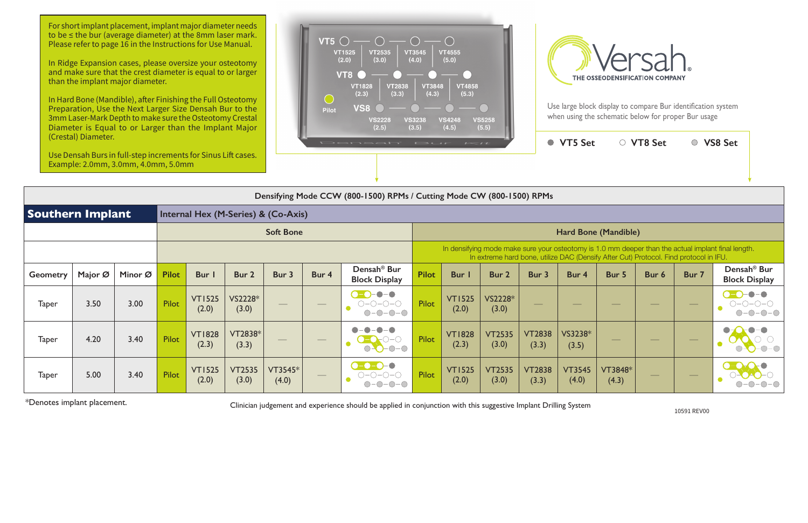Use large block display to compare Bur identification system when using the schematic below for proper Bur usage

|                         | (Crestal) Diameter. | Use Densah Burs in full-step increments for Sinus Lift cases.<br>Example: 2.0mm, 3.0mm, 4.0mm, 5.0mm |              |                        |                                     |                  |                   | Densah' Bur                                                                                                                                                             |              | $I \leq I$             |                        |                        | ● VT5 Set              |                                                                                       | ○ VT8 Set     |                          | ○ VS8 Set                                                                                          |
|-------------------------|---------------------|------------------------------------------------------------------------------------------------------|--------------|------------------------|-------------------------------------|------------------|-------------------|-------------------------------------------------------------------------------------------------------------------------------------------------------------------------|--------------|------------------------|------------------------|------------------------|------------------------|---------------------------------------------------------------------------------------|---------------|--------------------------|----------------------------------------------------------------------------------------------------|
|                         |                     |                                                                                                      |              |                        |                                     |                  |                   | Densifying Mode CCW (800-1500) RPMs / Cutting Mode CW (800-1500) RPMs                                                                                                   |              |                        |                        |                        |                        |                                                                                       |               |                          |                                                                                                    |
| <b>Southern Implant</b> |                     |                                                                                                      |              |                        | Internal Hex (M-Series) & (Co-Axis) |                  |                   |                                                                                                                                                                         |              |                        |                        |                        |                        |                                                                                       |               |                          |                                                                                                    |
|                         |                     |                                                                                                      |              |                        |                                     | <b>Soft Bone</b> |                   |                                                                                                                                                                         |              |                        |                        |                        |                        | Hard Bone (Mandible)                                                                  |               |                          |                                                                                                    |
|                         |                     |                                                                                                      |              |                        |                                     |                  |                   |                                                                                                                                                                         |              |                        |                        |                        |                        | In extreme hard bone, utilize DAC (Densify After Cut) Protocol. Find protocol in IFU. |               |                          | In densifying mode make sure your osteotomy is 1.0 mm deeper than the actual implant final length. |
| <b>Geometry</b>         | Major Ø             | Minor Ø                                                                                              | <b>Pilot</b> | Bur I                  | Bur 2                               | Bur 3            | Bur 4             | Densah <sup>®</sup> Bur<br><b>Block Display</b>                                                                                                                         | <b>Pilot</b> | Bur I                  | Bur 2                  | Bur 3                  | Bur 4                  | Bur 5                                                                                 | Bur 6         | Bur 7                    | Densah <sup>®</sup> Bur<br><b>Block Display</b>                                                    |
| <b>Taper</b>            | 3.50                | 3.00                                                                                                 | Pilot        | <b>VT1525</b><br>(2.0) | VS2228*<br>(3.0)                    |                  |                   | $-\bullet-\bullet$<br>$\bigcirc$ - $\bigcirc$ -<br>$\bigcirc\negmedspace-\bigcirc\negmedspace-\bigcirc\negmedspace-\bigcirc$<br>$-$ O $-$ O $-$ O $-$ O<br>$\bigcirc$ - | Pilot        | <b>VT1525</b><br>(2.0) | VS2228*<br>(3.0)       |                        |                        |                                                                                       |               |                          | $-\bullet-\bullet$<br>$\bullet$ -O-<br>$O-O-O-O$<br>$\bullet$                                      |
| <b>Taper</b>            | 4.20                | 3.40                                                                                                 | Pilot        | <b>VT1828</b><br>(2.3) | VT2838*<br>(3.3)                    |                  | $\hspace{0.05cm}$ | $O-O-O-O$                                                                                                                                                               | Pilot        | <b>VT1828</b><br>(2.3) | <b>VT2535</b><br>(3.0) | <b>VT2838</b><br>(3.3) | VS3238*<br>(3.5)       | $\frac{1}{2}$                                                                         | $\frac{1}{2}$ | $\overline{\phantom{m}}$ |                                                                                                    |
| <b>Taper</b>            | 5.00                | 3.40                                                                                                 | Pilot        | <b>VT1525</b><br>(2.0) | <b>VT2535</b><br>(3.0)              | VT3545*<br>(4.0) |                   | $\bullet$ -0-0-0<br>0-0-0-0                                                                                                                                             | Pilot        | <b>VT1525</b><br>(2.0) | <b>VT2535</b><br>(3.0) | <b>VT2838</b><br>(3.3) | <b>VT3545</b><br>(4.0) | VT3848*<br>(4.3)                                                                      |               |                          |                                                                                                    |

\*Denotes implant placement.

10591 REV00

Clinician judgement and experience should be applied in conjunction with this suggestive Implant Drilling System

For short implant placement, implant major diameter needs to be ≤ the bur (average diameter) at the 8mm laser mark. Please refer to page 16 in the Instructions for Use Manual.

In Ridge Expansion cases, please oversize your osteotomy and make sure that the crest diameter is equal to or larger than the implant major diameter.

In Hard Bone (Mandible), after Finishing the Full Osteotomy Preparation, Use the Next Larger Size Densah Bur to the 3mm Laser-Mark Depth to make sure the Osteotomy Crestal Diameter is Equal to or Larger than the Implant Major (Crestal) Diameter.



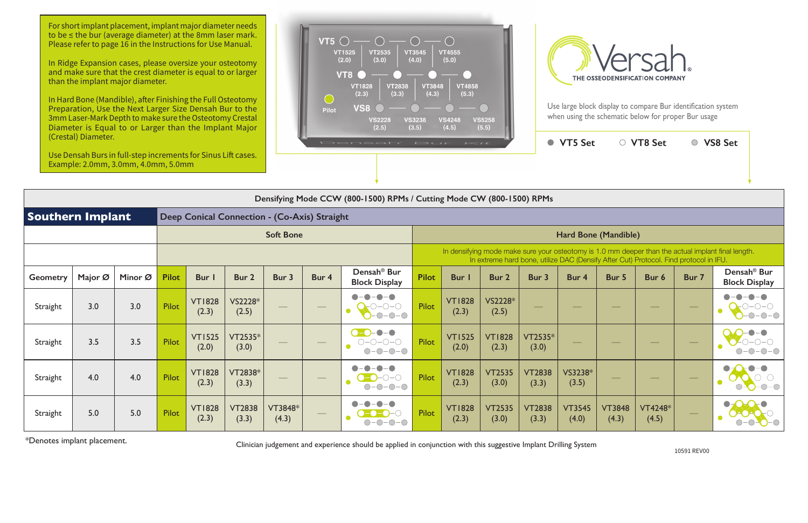Use large block display to compare Bur identification system when using the schematic below for proper Bur usage

|          | (Crestal) Diameter.<br>Use Densah Burs in full-step increments for Sinus Lift cases.<br>Example: 2.0mm, 3.0mm, 4.0mm, 5.0mm |         |              |                        |                        |                  |       | Densah <sup>*</sup> Bur Kit                                           |              |                        |                        |                        | ● VT5 Set                |                        | ○ VT8 Set                                                                             |       | ○ VS8 Set                                                                                          |
|----------|-----------------------------------------------------------------------------------------------------------------------------|---------|--------------|------------------------|------------------------|------------------|-------|-----------------------------------------------------------------------|--------------|------------------------|------------------------|------------------------|--------------------------|------------------------|---------------------------------------------------------------------------------------|-------|----------------------------------------------------------------------------------------------------|
|          |                                                                                                                             |         |              |                        |                        |                  |       |                                                                       |              |                        |                        |                        |                          |                        |                                                                                       |       |                                                                                                    |
|          |                                                                                                                             |         |              |                        |                        |                  |       | Densifying Mode CCW (800-1500) RPMs / Cutting Mode CW (800-1500) RPMs |              |                        |                        |                        |                          |                        |                                                                                       |       |                                                                                                    |
|          | <b>Southern Implant</b><br>Deep Conical Connection - (Co-Axis) Straight                                                     |         |              |                        |                        |                  |       |                                                                       |              |                        |                        |                        |                          |                        |                                                                                       |       |                                                                                                    |
|          |                                                                                                                             |         |              |                        |                        | <b>Soft Bone</b> |       |                                                                       |              |                        |                        |                        | Hard Bone (Mandible)     |                        |                                                                                       |       |                                                                                                    |
|          |                                                                                                                             |         |              |                        |                        |                  |       |                                                                       |              |                        |                        |                        |                          |                        | In extreme hard bone, utilize DAC (Densify After Cut) Protocol. Find protocol in IFU. |       | In densifying mode make sure your osteotomy is 1.0 mm deeper than the actual implant final length. |
| Geometry | Major Ø                                                                                                                     | Minor Ø | <b>Pilot</b> | Bur                    | Bur 2                  | Bur 3            | Bur 4 | Densah <sup>®</sup> Bur<br><b>Block Display</b>                       | <b>Pilot</b> | Bur                    | Bur 2                  | Bur 3                  | Bur 4                    | Bur 5                  | Bur 6                                                                                 | Bur 7 | Densah <sup>®</sup> Bur<br><b>Block Display</b>                                                    |
| Straight | 3.0                                                                                                                         | 3.0     | <b>Pilot</b> | <b>VT1828</b><br>(2.3) | VS2228*<br>(2.5)       |                  |       | $\bullet$<br>$O-O-C$<br>$\bullet$<br>$-0-0-0$                         | Pilot        | <b>VT1828</b><br>(2.3) | VS2228*<br>(2.5)       |                        |                          |                        |                                                                                       |       | $-0$ - $0$ - $\circ$                                                                               |
| Straight | 3.5                                                                                                                         | 3.5     | Pilot        | <b>VT1525</b><br>(2.0) | VT2535*<br>(3.0)       |                  |       | $-0$<br>$O-O-O-O$<br>$ \bigcirc$ $ \bigcirc$<br>$\bigcap$             | Pilot        | <b>VT1525</b><br>(2.0) | <b>VT1828</b><br>(2.3) | VT2535*<br>(3.0)       | $\overline{\phantom{a}}$ |                        |                                                                                       |       |                                                                                                    |
| Straight | 4.0                                                                                                                         | 4.0     | Pilot        | <b>VT1828</b><br>(2.3) | VT2838*<br>(3.3)       |                  |       | $-0-0-0$<br>$\bigcap$ –                                               | Pilot        | <b>VT1828</b><br>(2.3) | <b>VT2535</b><br>(3.0) | <b>VT2838</b><br>(3.3) | VS3238*<br>(3.5)         | $\frac{1}{2}$          |                                                                                       |       | $\bullet$ 0-0-0<br>$\bigcirc$                                                                      |
| Straight | 5.0                                                                                                                         | 5.0     | Pilot        | <b>VT1828</b><br>(2.3) | <b>VT2838</b><br>(3.3) | VT3848*<br>(4.3) |       | $\cdot$ $\bigcirc$<br>$ \bigcirc$ -<br>$-\bigcirc$                    | Pilot        | <b>VT1828</b><br>(2.3) | <b>VT2535</b><br>(3.0) | <b>VT2838</b><br>(3.3) | <b>VT3545</b><br>(4.0)   | <b>VT3848</b><br>(4.3) | <b>VT4248*</b><br>(4.5)                                                               |       | $\bullet$                                                                                          |

\*Denotes implant placement.

Clinician judgement and experience should be applied in conjunction with this suggestive Implant Drilling System

For short implant placement, implant major diameter needs to be ≤ the bur (average diameter) at the 8mm laser mark. Please refer to page 16 in the Instructions for Use Manual.

In Ridge Expansion cases, please oversize your osteotomy and make sure that the crest diameter is equal to or larger than the implant major diameter.

In Hard Bone (Mandible), after Finishing the Full Osteotomy Preparation, Use the Next Larger Size Densah Bur to the 3mm Laser-Mark Depth to make sure the Osteotomy Crestal Diameter is Equal to or Larger than the Implant Major (Crestal) Diameter.